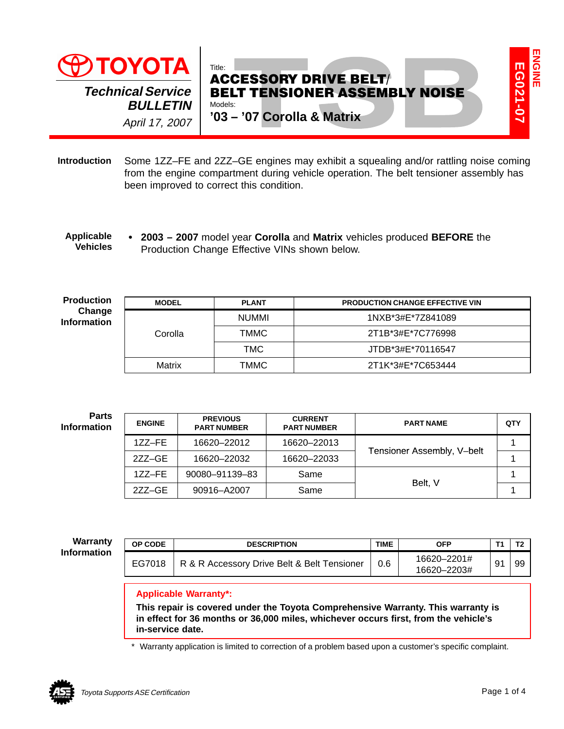

#### $\bullet$  **2003 – 2007** model year **Corolla** and **Matrix** vehicles produced **BEFORE** the Production Change Effective VINs shown below. **Applicable Vehicles**

| <b>IUYUIA</b>                         |                                                                                                                                                                                                                             |  | Title:<br><b>ACCESSORY DRIVE BELT/</b> |                               |                                                                    |                  |                                                                                                          |             |                |  |
|---------------------------------------|-----------------------------------------------------------------------------------------------------------------------------------------------------------------------------------------------------------------------------|--|----------------------------------------|-------------------------------|--------------------------------------------------------------------|------------------|----------------------------------------------------------------------------------------------------------|-------------|----------------|--|
|                                       | <b>Technical Service</b><br><b>BULLETIN</b><br>April 17, 2007                                                                                                                                                               |  | Models:                                |                               | <b>BELT TENSIONER ASSEMBLY NOISE</b><br>'03 - '07 Corolla & Matrix |                  |                                                                                                          |             | EG021-07       |  |
| ntroduction                           | Some 1ZZ-FE and 2ZZ-GE engines may exhibit a squealing and/or rattling noise coming<br>from the engine compartment during vehicle operation. The belt tensioner assembly has<br>been improved to correct this condition.    |  |                                        |                               |                                                                    |                  |                                                                                                          |             |                |  |
| <b>Applicable</b><br><b>Vehicles</b>  |                                                                                                                                                                                                                             |  |                                        |                               | Production Change Effective VINs shown below.                      |                  | • 2003 - 2007 model year Corolla and Matrix vehicles produced BEFORE the                                 |             |                |  |
| <b>Production</b>                     | <b>MODEL</b>                                                                                                                                                                                                                |  | <b>PLANT</b>                           |                               | <b>PRODUCTION CHANGE EFFECTIVE VIN</b>                             |                  |                                                                                                          |             |                |  |
| Change<br><b>Information</b>          |                                                                                                                                                                                                                             |  | <b>NUMMI</b>                           |                               | 1NXB*3#E*7Z841089                                                  |                  |                                                                                                          |             |                |  |
|                                       | Corolla                                                                                                                                                                                                                     |  | <b>TMMC</b>                            |                               | 2T1B*3#E*7C776998                                                  |                  |                                                                                                          |             |                |  |
|                                       |                                                                                                                                                                                                                             |  | <b>TMC</b>                             |                               | JTDB*3#E*70116547                                                  |                  |                                                                                                          |             |                |  |
| Matrix                                |                                                                                                                                                                                                                             |  | <b>TMMC</b>                            |                               | 2T1K*3#E*7C653444                                                  |                  |                                                                                                          |             |                |  |
| <b>Parts</b><br><b>Information</b>    | <b>PREVIOUS</b><br><b>ENGINE</b><br><b>PART NUMBER</b>                                                                                                                                                                      |  |                                        | <b>CURRENT</b><br>PART NUMBER |                                                                    | <b>PART NAME</b> |                                                                                                          |             | QTY            |  |
|                                       | 1ZZ-FE                                                                                                                                                                                                                      |  | 16620-22012                            |                               | 16620-22013                                                        |                  |                                                                                                          |             | 1              |  |
|                                       | 2ZZ-GE                                                                                                                                                                                                                      |  | 16620-22032                            |                               | 16620-22033                                                        |                  | Tensioner Assembly, V-belt                                                                               |             | $\mathbf 1$    |  |
|                                       | 1ZZ-FE                                                                                                                                                                                                                      |  | 90080-91139-83                         |                               | Same                                                               |                  | Belt, V                                                                                                  |             | 1              |  |
|                                       | 2ZZ-GE                                                                                                                                                                                                                      |  | 90916-A2007                            |                               | Same                                                               |                  |                                                                                                          |             | 1              |  |
|                                       |                                                                                                                                                                                                                             |  |                                        |                               |                                                                    |                  |                                                                                                          |             |                |  |
| <b>Warranty</b><br><b>Information</b> | OP CODE                                                                                                                                                                                                                     |  |                                        | <b>DESCRIPTION</b>            |                                                                    | <b>TIME</b>      | <b>OFP</b>                                                                                               | T1          | T <sub>2</sub> |  |
|                                       | EG7018                                                                                                                                                                                                                      |  |                                        |                               | R & R Accessory Drive Belt & Belt Tensioner                        | 0.6              | 16620-2201#<br>16620-2203#                                                                               | 91          | 99             |  |
|                                       | <b>Applicable Warranty*:</b><br>This repair is covered under the Toyota Comprehensive Warranty. This warranty is<br>in effect for 36 months or 36,000 miles, whichever occurs first, from the vehicle's<br>in-service date. |  |                                        |                               |                                                                    |                  |                                                                                                          |             |                |  |
|                                       |                                                                                                                                                                                                                             |  |                                        |                               |                                                                    |                  | * Warranty application is limited to correction of a problem based upon a customer's specific complaint. |             |                |  |
|                                       | Toyota Supports ASE Certification                                                                                                                                                                                           |  |                                        |                               |                                                                    |                  |                                                                                                          | Page 1 of 4 |                |  |

| <b>ENGINE</b> | <b>PREVIOUS</b><br><b>PART NUMBER</b> | <b>CURRENT</b><br><b>PART NUMBER</b> | <b>PART NAME</b>           | QTY |
|---------------|---------------------------------------|--------------------------------------|----------------------------|-----|
| $1ZZ-FE$      | 16620-22012                           | 16620-22013                          |                            |     |
| $27Z-GE$      | 16620-22032                           | 16620-22033                          | Tensioner Assembly, V-belt |     |
| $1ZZ-FE$      | 90080-91139-83                        | Same                                 |                            |     |
| 277–GE        | 90916-A2007                           | Same                                 | Belt. V                    |     |

| OP CODE | <b>DESCRIPTION</b>                          | <b>TIME</b> | OFP                        | <u>та</u> |
|---------|---------------------------------------------|-------------|----------------------------|-----------|
| EG7018  | R & R Accessory Drive Belt & Belt Tensioner | 0.6         | 16620-2201#<br>16620-2203# | 99        |



**ENGINEE** 

**ENGINE**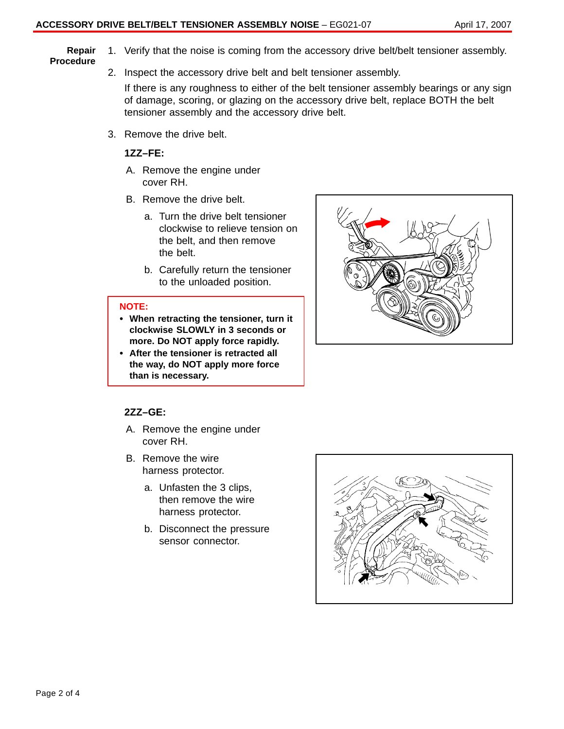#### **Repair Procedure**

2. Inspect the accessory drive belt and belt tensioner assembly.

If there is any roughness to either of the belt tensioner assembly bearings or any sign of damage, scoring, or glazing on the accessory drive belt, replace BOTH the belt tensioner assembly and the accessory drive belt.

1. Verify that the noise is coming from the accessory drive belt/belt tensioner assembly.

3. Remove the drive belt.

## **1ZZ–FE:**

- A. Remove the engine under cover RH.
- B. Remove the drive belt.
	- a. Turn the drive belt tensioner clockwise to relieve tension on the belt, and then remove the belt.
	- b. Carefully return the tensioner to the unloaded position.

## **NOTE:**

- **When retracting the tensioner, turn it clockwise SLOWLY in 3 seconds or more. Do NOT apply force rapidly.**
- **After the tensioner is retracted all the way, do NOT apply more force than is necessary.**



## **2ZZ–GE:**

- A. Remove the engine under cover RH.
- B. Remove the wire harness protector.
	- a. Unfasten the 3 clips, then remove the wire harness protector.
	- b. Disconnect the pressure sensor connector.

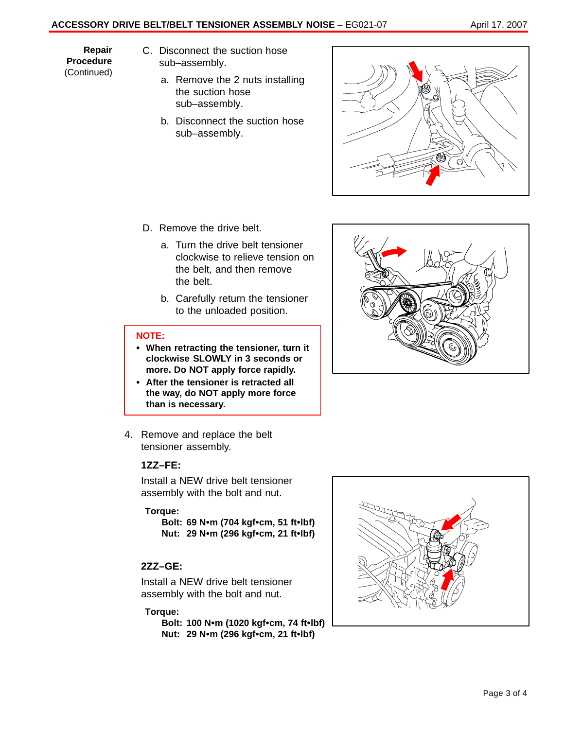# **ACCESSORY DRIVE BELT/BELT TENSIONER ASSEMBLY NOISE** - EG021-07 April 17, 2007

**Repair Procedure** (Continued)

- C. Disconnect the suction hose sub–assembly.
	- a. Remove the 2 nuts installing the suction hose sub–assembly.
	- b. Disconnect the suction hose sub–assembly.



- D. Remove the drive belt.
	- a. Turn the drive belt tensioner clockwise to relieve tension on the belt, and then remove the belt.
	- b. Carefully return the tensioner to the unloaded position.

#### **NOTE:**

- **When retracting the tensioner, turn it clockwise SLOWLY in 3 seconds or more. Do NOT apply force rapidly.**
- **After the tensioner is retracted all the way, do NOT apply more force than is necessary.**
- 4. Remove and replace the belt tensioner assembly.

## **1ZZ–FE:**

Install a NEW drive belt tensioner assembly with the bolt and nut.

## **Torque:**

**Bolt: 69 Nm (704 kgfcm, 51 ftlbf) Nut: 29 Nm (296 kgfcm, 21 ftlbf)**

## **2ZZ–GE:**

Install a NEW drive belt tensioner assembly with the bolt and nut.

## **Torque:**

**Bolt: 100 Nm (1020 kgfcm, 74 ftlbf) Nut: 29 Nm (296 kgfcm, 21 ftlbf)**